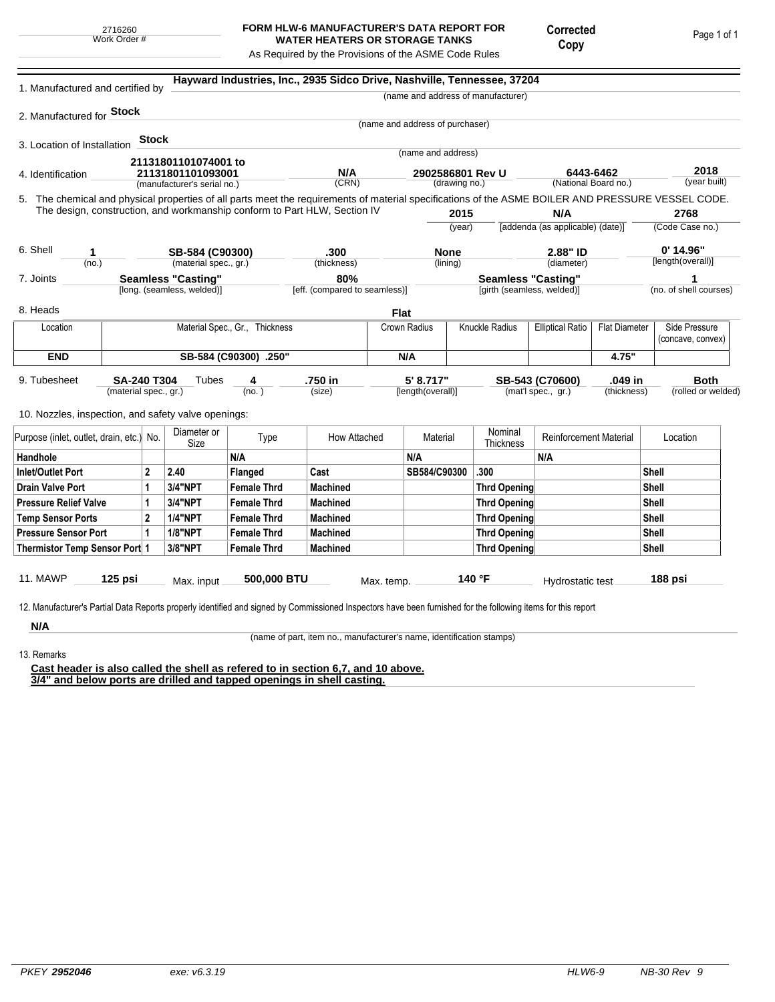## **FORM HLW-6 MANUFACTURER'S DATA REPORT FOR WATER HEATERS OR STORAGE TANKS**

Corrected Copy

Page 1 of 1

As Required by the Provisions of the ASME Code Rules

| Hayward Industries, Inc., 2935 Sidco Drive, Nashville, Tennessee, 37204<br>1. Manufactured and certified by<br>(name and address of manufacturer)                                                                               |                           |                |                            |                                |                               |             |                                 |                           |                            |                                         |                      |                         |                        |
|---------------------------------------------------------------------------------------------------------------------------------------------------------------------------------------------------------------------------------|---------------------------|----------------|----------------------------|--------------------------------|-------------------------------|-------------|---------------------------------|---------------------------|----------------------------|-----------------------------------------|----------------------|-------------------------|------------------------|
| 2. Manufactured for Stock                                                                                                                                                                                                       |                           |                |                            |                                |                               |             |                                 |                           |                            |                                         |                      |                         |                        |
|                                                                                                                                                                                                                                 |                           |                |                            |                                |                               |             | (name and address of purchaser) |                           |                            |                                         |                      |                         |                        |
| 3. Location of Installation                                                                                                                                                                                                     |                           | Stock          |                            |                                |                               |             |                                 |                           |                            |                                         |                      |                         |                        |
|                                                                                                                                                                                                                                 |                           |                | 21131801101074001 to       |                                |                               |             | (name and address)              |                           |                            |                                         |                      |                         |                        |
| 4. Identification                                                                                                                                                                                                               |                           |                | 21131801101093001          |                                | N/A                           |             |                                 | 2902586801 Rev U          |                            | 6443-6462                               |                      |                         | 2018<br>(year built)   |
| (CRN)<br>(National Board no.)<br>(drawing no.)<br>(manufacturer's serial no.)                                                                                                                                                   |                           |                |                            |                                |                               |             |                                 |                           |                            |                                         |                      |                         |                        |
| 5. The chemical and physical properties of all parts meet the requirements of material specifications of the ASME BOILER AND PRESSURE VESSEL CODE.<br>The design, construction, and workmanship conform to Part HLW, Section IV |                           |                |                            |                                |                               |             |                                 |                           |                            |                                         |                      |                         |                        |
|                                                                                                                                                                                                                                 |                           |                |                            |                                |                               |             | 2015<br>(year)                  |                           |                            | N/A<br>[addenda (as applicable) (date)] |                      | 2768<br>(Code Case no.) |                        |
|                                                                                                                                                                                                                                 |                           |                |                            |                                |                               |             |                                 |                           |                            |                                         |                      |                         |                        |
| 6. Shell<br>SB-584 (C90300)<br>1                                                                                                                                                                                                |                           |                |                            | .300                           |                               | <b>None</b> |                                 | 2.88" ID                  |                            | $0'$ 14.96"                             |                      |                         |                        |
| (no.)                                                                                                                                                                                                                           |                           |                | (material spec., gr.)      |                                | (thickness)                   |             | (diameter)<br>(lining)          |                           |                            |                                         | [length(overall)]    |                         |                        |
| 7. Joints                                                                                                                                                                                                                       | <b>Seamless "Casting"</b> |                |                            | 80%                            |                               |             |                                 | <b>Seamless "Casting"</b> |                            |                                         |                      |                         |                        |
|                                                                                                                                                                                                                                 |                           |                | [long. (seamless, welded)] |                                | [eff. (compared to seamless)] |             |                                 |                           | [girth (seamless, welded)] |                                         |                      |                         | (no. of shell courses) |
| 8. Heads                                                                                                                                                                                                                        |                           |                |                            |                                |                               | <b>Flat</b> |                                 |                           |                            |                                         |                      |                         |                        |
| Location                                                                                                                                                                                                                        |                           |                |                            | Material Spec., Gr., Thickness |                               |             | Crown Radius                    | <b>Knuckle Radius</b>     |                            | <b>Elliptical Ratio</b>                 | <b>Flat Diameter</b> |                         | Side Pressure          |
|                                                                                                                                                                                                                                 |                           |                |                            |                                |                               |             |                                 |                           |                            |                                         |                      |                         | (concave, convex)      |
| <b>END</b>                                                                                                                                                                                                                      | SB-584 (C90300) .250"     |                |                            |                                |                               | N/A         |                                 |                           |                            | 4.75"                                   |                      |                         |                        |
| 9. Tubesheet<br>SA-240 T304<br>Tubes                                                                                                                                                                                            |                           |                |                            |                                | 4<br>.750 in                  |             | 5' 8.717"                       |                           | SB-543 (C70600)            |                                         | .049 in              |                         | <b>Both</b>            |
| (material spec., gr.)                                                                                                                                                                                                           |                           |                |                            | (no. )                         | (size)                        |             |                                 | [length(overall)]         |                            | (mat'l spec., gr.)<br>(thickness)       |                      |                         | (rolled or welded)     |
|                                                                                                                                                                                                                                 |                           |                |                            |                                |                               |             |                                 |                           |                            |                                         |                      |                         |                        |
| 10. Nozzles, inspection, and safety valve openings:                                                                                                                                                                             |                           |                |                            |                                |                               |             |                                 |                           |                            |                                         |                      |                         |                        |
| Purpose (inlet, outlet, drain, etc.)                                                                                                                                                                                            |                           | No.            | Diameter or<br>Size        | Type                           | How Attached                  |             | Material                        |                           | Nominal<br>Thickness       | <b>Reinforcement Material</b>           |                      | Location                |                        |
| Handhole                                                                                                                                                                                                                        |                           |                |                            | N/A                            |                               |             | N/A                             |                           |                            | N/A                                     |                      |                         |                        |
| <b>Inlet/Outlet Port</b>                                                                                                                                                                                                        |                           | $\mathbf{2}$   | 2.40                       | Flanged                        | Cast                          |             | SB584/C90300                    |                           | .300                       |                                         |                      | Shell                   |                        |
| <b>Drain Valve Port</b>                                                                                                                                                                                                         |                           | 1              | <b>3/4"NPT</b>             | <b>Female Thrd</b>             | <b>Machined</b>               |             |                                 |                           | <b>Thrd Opening</b>        |                                         |                      | <b>Shell</b>            |                        |
| <b>Pressure Relief Valve</b>                                                                                                                                                                                                    |                           | 1              | <b>3/4"NPT</b>             | <b>Female Thrd</b>             | <b>Machined</b>               |             |                                 |                           | <b>Thrd Opening</b>        |                                         |                      | <b>Shell</b>            |                        |
| <b>Temp Sensor Ports</b>                                                                                                                                                                                                        |                           | $\overline{2}$ | <b>1/4"NPT</b>             | <b>Female Thrd</b>             | <b>Machined</b>               |             |                                 |                           | <b>Thrd Opening</b>        |                                         | <b>Shell</b>         |                         |                        |
| <b>Pressure Sensor Port</b>                                                                                                                                                                                                     |                           | 1              | <b>1/8"NPT</b>             | <b>Female Thrd</b>             | <b>Machined</b>               |             |                                 |                           | <b>Thrd Opening</b>        |                                         | Shell                |                         |                        |
| Thermistor Temp Sensor Port 1                                                                                                                                                                                                   |                           |                | 3/8"NPT                    | <b>Female Thrd</b>             | <b>Machined</b>               |             |                                 |                           | <b>Thrd Opening</b>        |                                         |                      | <b>Shell</b>            |                        |
|                                                                                                                                                                                                                                 |                           |                |                            |                                |                               |             |                                 |                           |                            |                                         |                      |                         |                        |
| <b>11. MAWP</b>                                                                                                                                                                                                                 | 125 psi                   |                | Max. input                 | 500,000 BTU                    |                               | Max. temp.  |                                 |                           | 140 °F                     | Hydrostatic test                        |                      |                         | 188 psi                |
|                                                                                                                                                                                                                                 |                           |                |                            |                                |                               |             |                                 |                           |                            |                                         |                      |                         |                        |
| 12. Manufacturer's Partial Data Reports properly identified and signed by Commissioned Inspectors have been furnished for the following items for this report                                                                   |                           |                |                            |                                |                               |             |                                 |                           |                            |                                         |                      |                         |                        |

**N/A** 13. Remarks

(name of part, item no., manufacturer's name, identification stamps)

**Cast header is also called the shell as refered to in section 6,7, and 10 above. 3/4" and below ports are drilled and tapped openings in shell casting.**